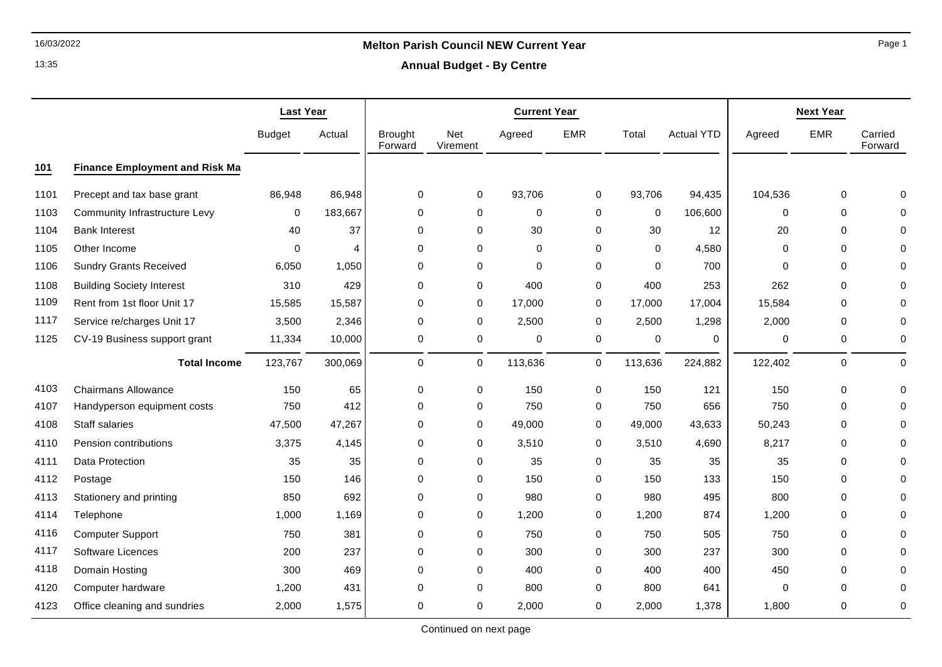# 16/03/2022 **Melton Parish Council NEW Current Year**

**Annual Budget - By Centre**

|      |                                       | <b>Last Year</b> |                | <b>Current Year</b>       |                 |             |             |             | <b>Next Year</b>  |             |             |                    |
|------|---------------------------------------|------------------|----------------|---------------------------|-----------------|-------------|-------------|-------------|-------------------|-------------|-------------|--------------------|
|      |                                       | <b>Budget</b>    | Actual         | <b>Brought</b><br>Forward | Net<br>Virement | Agreed      | <b>EMR</b>  | Total       | <b>Actual YTD</b> | Agreed      | <b>EMR</b>  | Carried<br>Forward |
| 101  | <b>Finance Employment and Risk Ma</b> |                  |                |                           |                 |             |             |             |                   |             |             |                    |
| 1101 | Precept and tax base grant            | 86,948           | 86,948         | 0                         | 0               | 93,706      | 0           | 93,706      | 94,435            | 104,536     | 0           | $\Omega$           |
| 1103 | Community Infrastructure Levy         | 0                | 183,667        | $\mathbf 0$               | 0               | $\mathbf 0$ | $\mathbf 0$ | $\mathbf 0$ | 106,600           | $\mathbf 0$ | $\Omega$    |                    |
| 1104 | <b>Bank Interest</b>                  | 40               | 37             | 0                         | 0               | 30          | 0           | 30          | 12                | 20          | 0           | $\Omega$           |
| 1105 | Other Income                          | $\Omega$         | $\overline{4}$ | $\mathbf 0$               | 0               | $\mathbf 0$ | $\mathbf 0$ | $\Omega$    | 4,580             | $\mathbf 0$ | $\mathbf 0$ | $\Omega$           |
| 1106 | <b>Sundry Grants Received</b>         | 6,050            | 1,050          | $\mathbf 0$               | 0               | $\mathbf 0$ | $\mathbf 0$ | $\mathbf 0$ | 700               | $\Omega$    | 0           | O                  |
| 1108 | <b>Building Society Interest</b>      | 310              | 429            | $\mathbf 0$               | 0               | 400         | $\mathbf 0$ | 400         | 253               | 262         | $\mathbf 0$ |                    |
| 1109 | Rent from 1st floor Unit 17           | 15,585           | 15,587         | $\mathbf 0$               | 0               | 17,000      | 0           | 17,000      | 17,004            | 15,584      | $\mathbf 0$ | $\Omega$           |
| 1117 | Service re/charges Unit 17            | 3,500            | 2,346          | 0                         | 0               | 2,500       | 0           | 2,500       | 1,298             | 2,000       | 0           | 0                  |
| 1125 | CV-19 Business support grant          | 11,334           | 10,000         | 0                         | 0               | $\mathbf 0$ | $\pmb{0}$   | 0           | 0                 | $\pmb{0}$   | 0           | $\mathbf 0$        |
|      | <b>Total Income</b>                   | 123,767          | 300,069        | 0                         | 0               | 113,636     | 0           | 113,636     | 224,882           | 122,402     | 0           | $\pmb{0}$          |
| 4103 | <b>Chairmans Allowance</b>            | 150              | 65             | 0                         | 0               | 150         | $\mathbf 0$ | 150         | 121               | 150         | 0           | $\Omega$           |
| 4107 | Handyperson equipment costs           | 750              | 412            | $\mathbf 0$               | 0               | 750         | 0           | 750         | 656               | 750         | 0           |                    |
| 4108 | Staff salaries                        | 47,500           | 47,267         | 0                         | 0               | 49,000      | 0           | 49,000      | 43,633            | 50,243      | 0           | $\Omega$           |
| 4110 | Pension contributions                 | 3,375            | 4,145          | 0                         | 0               | 3,510       | 0           | 3,510       | 4,690             | 8,217       | 0           | O                  |
| 4111 | Data Protection                       | 35               | 35             | 0                         | 0               | 35          | $\mathbf 0$ | 35          | 35                | 35          | 0           |                    |
| 4112 | Postage                               | 150              | 146            | $\mathbf 0$               | 0               | 150         | $\mathbf 0$ | 150         | 133               | 150         | 0           | O                  |
| 4113 | Stationery and printing               | 850              | 692            | $\mathbf 0$               | 0               | 980         | 0           | 980         | 495               | 800         | $\mathbf 0$ | 0                  |
| 4114 | Telephone                             | 1,000            | 1,169          | 0                         | 0               | 1,200       | 0           | 1,200       | 874               | 1,200       | $\mathbf 0$ | 0                  |
| 4116 | <b>Computer Support</b>               | 750              | 381            | 0                         | 0               | 750         | $\mathbf 0$ | 750         | 505               | 750         | 0           |                    |
| 4117 | <b>Software Licences</b>              | 200              | 237            | $\mathbf 0$               | 0               | 300         | 0           | 300         | 237               | 300         | $\mathbf 0$ | $\Omega$           |
| 4118 | Domain Hosting                        | 300              | 469            | 0                         | 0               | 400         | 0           | 400         | 400               | 450         | 0           | 0                  |
| 4120 | Computer hardware                     | 1,200            | 431            | $\mathbf 0$               | 0               | 800         | 0           | 800         | 641               | $\mathbf 0$ | 0           | 0                  |
| 4123 | Office cleaning and sundries          | 2,000            | 1,575          | $\Omega$                  | 0               | 2,000       | 0           | 2,000       | 1,378             | 1,800       | $\mathbf 0$ | $\Omega$           |

Page 1

13:35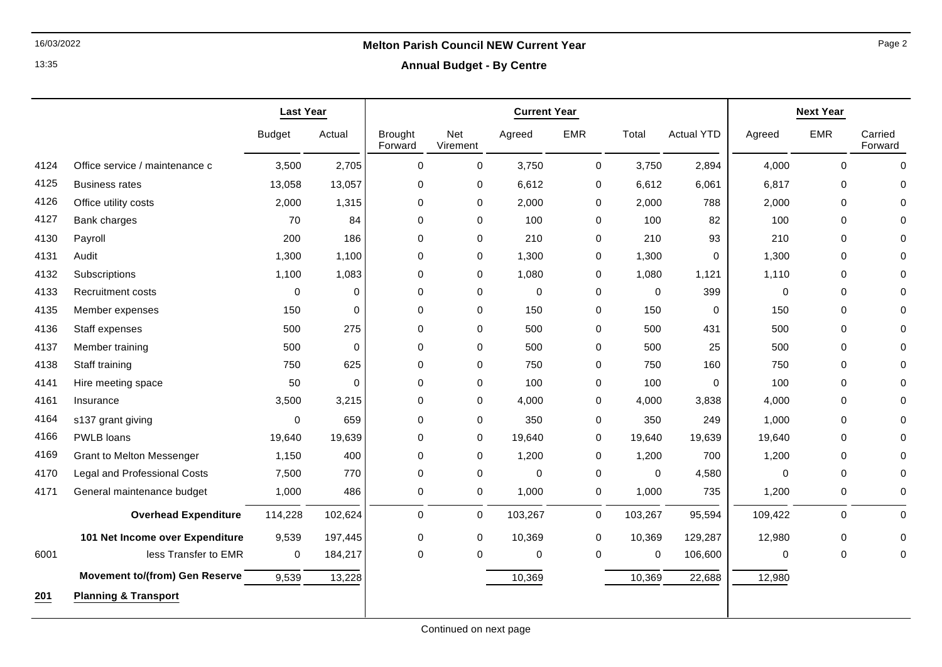13:35

# 16/03/2022 **Melton Parish Council NEW Current Year**

**Annual Budget - By Centre**

|      |                                       | <b>Last Year</b> |             | <b>Current Year</b>       |                 |             |             | <b>Next Year</b> |                   |             |             |                    |
|------|---------------------------------------|------------------|-------------|---------------------------|-----------------|-------------|-------------|------------------|-------------------|-------------|-------------|--------------------|
|      |                                       | <b>Budget</b>    | Actual      | <b>Brought</b><br>Forward | Net<br>Virement | Agreed      | <b>EMR</b>  | Total            | <b>Actual YTD</b> | Agreed      | <b>EMR</b>  | Carried<br>Forward |
| 4124 | Office service / maintenance c        | 3,500            | 2,705       | $\mathbf 0$               | 0               | 3,750       | 0           | 3,750            | 2,894             | 4,000       | 0           | $\mathbf 0$        |
| 4125 | <b>Business rates</b>                 | 13,058           | 13,057      | 0                         | 0               | 6,612       | 0           | 6,612            | 6,061             | 6,817       | 0           | $\Omega$           |
| 4126 | Office utility costs                  | 2,000            | 1,315       | $\mathbf 0$               | 0               | 2,000       | $\mathbf 0$ | 2,000            | 788               | 2,000       | 0           | $\Omega$           |
| 4127 | Bank charges                          | 70               | 84          | $\mathbf 0$               | $\mathbf 0$     | 100         | 0           | 100              | 82                | 100         | $\Omega$    | 0                  |
| 4130 | Payroll                               | 200              | 186         | $\mathbf 0$               | 0               | 210         | 0           | 210              | 93                | 210         | $\mathbf 0$ | 0                  |
| 4131 | Audit                                 | 1,300            | 1,100       | 0                         | 0               | 1,300       | 0           | 1,300            | 0                 | 1,300       | 0           | 0                  |
| 4132 | Subscriptions                         | 1,100            | 1,083       | $\mathbf 0$               | 0               | 1,080       | 0           | 1,080            | 1,121             | 1,110       | 0           | 0                  |
| 4133 | <b>Recruitment costs</b>              | 0                | $\mathbf 0$ | $\mathbf 0$               | $\mathbf 0$     | $\mathbf 0$ | $\mathbf 0$ | 0                | 399               | $\mathbf 0$ | 0           | $\Omega$           |
| 4135 | Member expenses                       | 150              | $\Omega$    | 0                         | $\mathbf 0$     | 150         | $\mathbf 0$ | 150              | $\mathbf 0$       | 150         | $\Omega$    | 0                  |
| 4136 | Staff expenses                        | 500              | 275         | 0                         | 0               | 500         | 0           | 500              | 431               | 500         | $\mathbf 0$ | 0                  |
| 4137 | Member training                       | 500              | $\mathbf 0$ | $\Omega$                  | $\mathbf 0$     | 500         | 0           | 500              | 25                | 500         | $\mathbf 0$ | $\Omega$           |
| 4138 | Staff training                        | 750              | 625         | 0                         | 0               | 750         | 0           | 750              | 160               | 750         | $\mathbf 0$ | 0                  |
| 4141 | Hire meeting space                    | 50               | 0           | 0                         | 0               | 100         | 0           | 100              | 0                 | 100         | 0           | $\Omega$           |
| 4161 | Insurance                             | 3,500            | 3,215       | $\mathbf 0$               | 0               | 4,000       | 0           | 4,000            | 3,838             | 4,000       | $\mathbf 0$ | $\Omega$           |
| 4164 | s137 grant giving                     | $\mathbf 0$      | 659         | $\mathbf 0$               | 0               | 350         | 0           | 350              | 249               | 1,000       | $\mathbf 0$ | 0                  |
| 4166 | PWLB loans                            | 19,640           | 19,639      | 0                         | 0               | 19,640      | 0           | 19,640           | 19,639            | 19,640      | $\Omega$    | $\Omega$           |
| 4169 | <b>Grant to Melton Messenger</b>      | 1,150            | 400         | $\mathbf 0$               | 0               | 1,200       | 0           | 1,200            | 700               | 1,200       | $\mathbf 0$ | 0                  |
| 4170 | Legal and Professional Costs          | 7,500            | 770         | $\mathbf 0$               | 0               | $\mathbf 0$ | 0           | $\mathbf 0$      | 4,580             | $\Omega$    | $\mathbf 0$ | $\Omega$           |
| 4171 | General maintenance budget            | 1,000            | 486         | 0                         | $\mathsf{O}$    | 1,000       | $\mathbf 0$ | 1,000            | 735               | 1,200       | 0           | 0                  |
|      | <b>Overhead Expenditure</b>           | 114,228          | 102,624     | $\pmb{0}$                 | $\mathsf 0$     | 103,267     | $\mathbf 0$ | 103,267          | 95,594            | 109,422     | $\pmb{0}$   | 0                  |
|      | 101 Net Income over Expenditure       | 9,539            | 197,445     | 0                         | 0               | 10,369      | 0           | 10,369           | 129,287           | 12,980      | 0           | 0                  |
| 6001 | less Transfer to EMR                  | 0                | 184,217     | 0                         | 0               | $\pmb{0}$   | 0           | 0                | 106,600           | 0           | $\mathbf 0$ | 0                  |
|      | <b>Movement to/(from) Gen Reserve</b> | 9,539            | 13,228      |                           |                 | 10,369      |             | 10,369           | 22,688            | 12,980      |             |                    |
| 201  | <b>Planning &amp; Transport</b>       |                  |             |                           |                 |             |             |                  |                   |             |             |                    |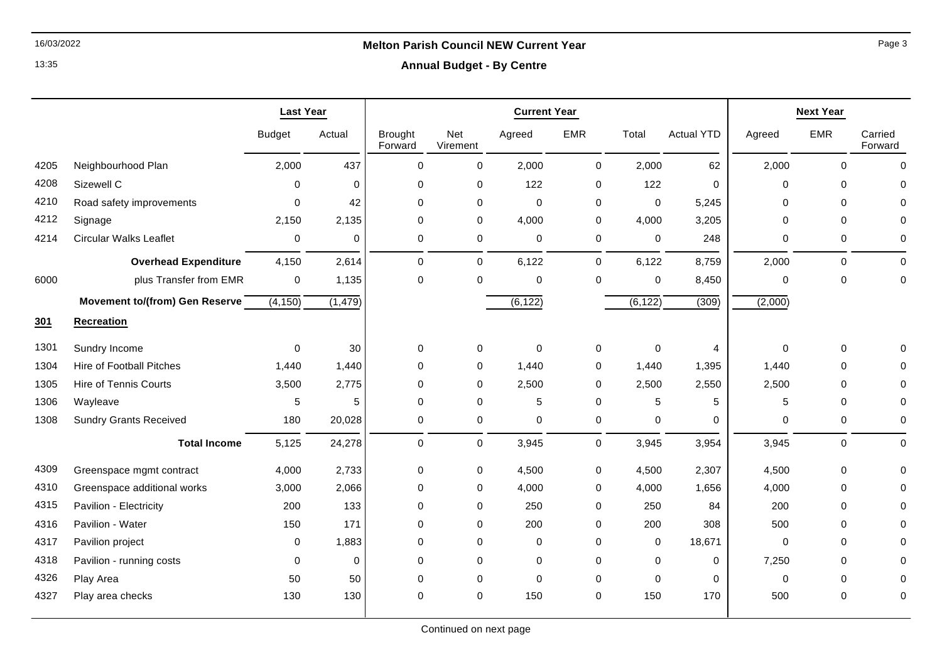## 16/03/2022 **Melton Parish Council NEW Current Year**

13:35

### **Annual Budget - By Centre**

|      |                                 | <b>Last Year</b> |          | <b>Current Year</b>       |                 |             |             |             | <b>Next Year</b>  |             |              |                    |
|------|---------------------------------|------------------|----------|---------------------------|-----------------|-------------|-------------|-------------|-------------------|-------------|--------------|--------------------|
|      |                                 | <b>Budget</b>    | Actual   | <b>Brought</b><br>Forward | Net<br>Virement | Agreed      | <b>EMR</b>  | Total       | <b>Actual YTD</b> | Agreed      | <b>EMR</b>   | Carried<br>Forward |
| 4205 | Neighbourhood Plan              | 2,000            | 437      | $\mathbf 0$               | 0               | 2,000       | 0           | 2,000       | 62                | 2,000       | $\mathbf{0}$ | $\mathbf 0$        |
| 4208 | Sizewell C                      | $\Omega$         | $\Omega$ | 0                         | 0               | 122         | 0           | 122         | 0                 | $\Omega$    | $\mathbf 0$  | 0                  |
| 4210 | Road safety improvements        | $\Omega$         | 42       | 0                         | 0               | $\mathbf 0$ | 0           | $\mathbf 0$ | 5,245             | $\Omega$    | $\mathbf 0$  |                    |
| 4212 | Signage                         | 2,150            | 2,135    | 0                         | 0               | 4,000       | 0           | 4,000       | 3,205             | $\Omega$    | $\mathbf 0$  | 0                  |
| 4214 | <b>Circular Walks Leaflet</b>   | 0                | 0        | $\pmb{0}$                 | 0               | $\mathbf 0$ | 0           | 0           | 248               | 0           | $\mathbf 0$  | 0                  |
|      | <b>Overhead Expenditure</b>     | 4,150            | 2,614    | $\mathbf 0$               | $\mathsf{O}$    | 6,122       | $\mathbf 0$ | 6,122       | 8,759             | 2,000       | $\mathbf 0$  | $\Omega$           |
| 6000 | plus Transfer from EMR          | 0                | 1,135    | $\mathbf 0$               | $\mathbf 0$     | $\mathbf 0$ | 0           | $\mathbf 0$ | 8,450             | $\Omega$    | $\mathbf{0}$ | 0                  |
|      | Movement to/(from) Gen Reserve  | (4, 150)         | (1, 479) |                           |                 | (6, 122)    |             | (6, 122)    | (309)             | (2,000)     |              |                    |
| 301  | <b>Recreation</b>               |                  |          |                           |                 |             |             |             |                   |             |              |                    |
| 1301 | Sundry Income                   | 0                | 30       | 0                         | 0               | $\mathbf 0$ | 0           | $\pmb{0}$   | 4                 | $\mathbf 0$ | $\mathbf 0$  |                    |
| 1304 | <b>Hire of Football Pitches</b> | 1,440            | 1,440    | 0                         | 0               | 1,440       | 0           | 1,440       | 1,395             | 1,440       | $\mathbf 0$  | O                  |
| 1305 | <b>Hire of Tennis Courts</b>    | 3,500            | 2,775    | $\mathbf 0$               | 0               | 2,500       | 0           | 2,500       | 2,550             | 2,500       | $\mathbf 0$  | 0                  |
| 1306 | Wayleave                        | 5                | 5        | 0                         | 0               | 5           | 0           | 5           | 5                 | 5           | $\mathbf 0$  | $\Omega$           |
| 1308 | <b>Sundry Grants Received</b>   | 180              | 20,028   | 0                         | 0               | $\mathbf 0$ | 0           | 0           | 0                 | $\Omega$    | 0            | 0                  |
|      | <b>Total Income</b>             | 5,125            | 24,278   | $\pmb{0}$                 | $\mathsf{O}$    | 3,945       | 0           | 3,945       | 3,954             | 3,945       | $\mathbf 0$  | 0                  |
| 4309 | Greenspace mgmt contract        | 4,000            | 2,733    | 0                         | $\pmb{0}$       | 4,500       | 0           | 4,500       | 2,307             | 4,500       | $\pmb{0}$    | O                  |
| 4310 | Greenspace additional works     | 3,000            | 2,066    | 0                         | 0               | 4,000       | 0           | 4,000       | 1,656             | 4,000       | $\mathbf 0$  | 0                  |
| 4315 | Pavilion - Electricity          | 200              | 133      | 0                         | 0               | 250         | 0           | 250         | 84                | 200         | $\mathbf 0$  | O                  |
| 4316 | Pavilion - Water                | 150              | 171      | 0                         | $\mathbf 0$     | 200         | 0           | 200         | 308               | 500         | $\mathbf 0$  | O                  |
| 4317 | Pavilion project                | 0                | 1,883    | 0                         | $\mathbf 0$     | $\mathbf 0$ | 0           | 0           | 18,671            | $\mathbf 0$ | $\mathbf 0$  | U                  |
| 4318 | Pavilion - running costs        | 0                | $\Omega$ | 0                         | $\mathbf 0$     | $\mathbf 0$ | 0           | 0           | $\mathbf 0$       | 7,250       | $\mathbf 0$  |                    |
| 4326 | Play Area                       | 50               | 50       | 0                         | $\mathbf 0$     | $\mathbf 0$ | 0           | $\Omega$    | 0                 | $\Omega$    | $\Omega$     | $\Omega$           |
| 4327 | Play area checks                | 130              | 130      | 0                         | $\mathbf 0$     | 150         | 0           | 150         | 170               | 500         | $\mathbf 0$  | 0                  |

Page 3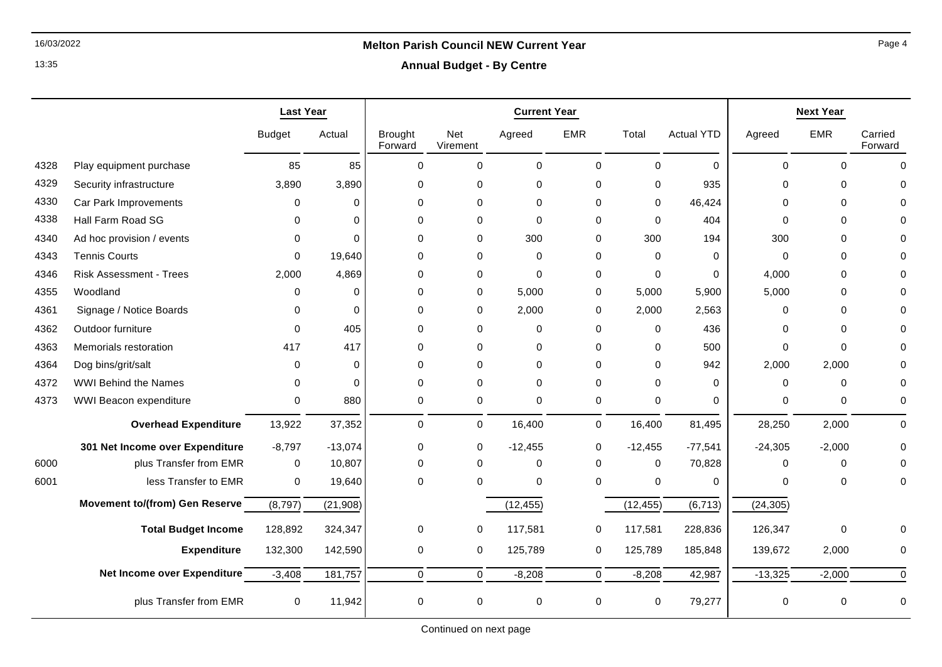13:35

## 16/03/2022 **Melton Parish Council NEW Current Year**

**Annual Budget - By Centre**

|      |                                 | <b>Last Year</b> |             | <b>Current Year</b>       |                 |              |             | <b>Next Year</b> |                   |             |             |                    |
|------|---------------------------------|------------------|-------------|---------------------------|-----------------|--------------|-------------|------------------|-------------------|-------------|-------------|--------------------|
|      |                                 | <b>Budget</b>    | Actual      | <b>Brought</b><br>Forward | Net<br>Virement | Agreed       | <b>EMR</b>  | Total            | <b>Actual YTD</b> | Agreed      | <b>EMR</b>  | Carried<br>Forward |
| 4328 | Play equipment purchase         | 85               | 85          | $\Omega$                  | $\Omega$        | $\mathbf{0}$ | $\Omega$    | $\Omega$         | $\Omega$          | $\Omega$    | $\Omega$    | $\Omega$           |
| 4329 | Security infrastructure         | 3,890            | 3,890       | 0                         | $\mathbf 0$     | $\mathbf 0$  | $\Omega$    | $\mathbf 0$      | 935               | $\Omega$    | $\Omega$    | O                  |
| 4330 | Car Park Improvements           | 0                | $\mathbf 0$ | $\mathbf 0$               | $\mathbf 0$     | $\mathbf 0$  | $\Omega$    | $\mathbf 0$      | 46,424            | $\mathbf 0$ | $\mathbf 0$ |                    |
| 4338 | Hall Farm Road SG               | 0                | $\Omega$    | $\Omega$                  | $\mathbf 0$     | $\Omega$     | $\Omega$    | $\Omega$         | 404               | $\Omega$    | $\Omega$    |                    |
| 4340 | Ad hoc provision / events       | $\Omega$         | $\Omega$    | $\mathbf 0$               | $\mathbf 0$     | 300          | 0           | 300              | 194               | 300         | $\Omega$    |                    |
| 4343 | <b>Tennis Courts</b>            | $\Omega$         | 19,640      | $\mathbf 0$               | 0               | $\mathbf 0$  | 0           | $\mathbf 0$      | 0                 | $\mathbf 0$ | $\Omega$    |                    |
| 4346 | <b>Risk Assessment - Trees</b>  | 2,000            | 4,869       | $\mathbf 0$               | $\mathbf 0$     | $\Omega$     | 0           | $\mathbf 0$      | $\Omega$          | 4,000       | $\mathbf 0$ |                    |
| 4355 | Woodland                        | $\Omega$         | $\Omega$    | 0                         | $\mathbf 0$     | 5,000        | 0           | 5,000            | 5,900             | 5,000       | $\Omega$    |                    |
| 4361 | Signage / Notice Boards         | $\Omega$         | $\Omega$    | $\Omega$                  | $\mathbf 0$     | 2,000        | 0           | 2,000            | 2,563             | $\mathbf 0$ | $\Omega$    |                    |
| 4362 | Outdoor furniture               | $\Omega$         | 405         | $\mathbf 0$               | 0               | $\mathbf 0$  | 0           | $\mathbf 0$      | 436               | 0           | $\Omega$    |                    |
| 4363 | Memorials restoration           | 417              | 417         | $\mathbf 0$               | $\Omega$        | $\mathbf 0$  | $\Omega$    | $\Omega$         | 500               | $\mathbf 0$ | $\Omega$    |                    |
| 4364 | Dog bins/grit/salt              | $\Omega$         | $\Omega$    | $\Omega$                  | $\Omega$        | $\mathbf{0}$ | $\Omega$    | $\Omega$         | 942               | 2,000       | 2,000       |                    |
| 4372 | <b>WWI Behind the Names</b>     | $\Omega$         | $\Omega$    | $\Omega$                  | $\mathbf 0$     | $\Omega$     | $\Omega$    | $\Omega$         | $\Omega$          | $\mathbf 0$ | $\Omega$    |                    |
| 4373 | WWI Beacon expenditure          | 0                | 880         | 0                         | $\mathsf{O}$    | $\mathbf 0$  | 0           | 0                | 0                 | 0           | 0           | $\Omega$           |
|      | <b>Overhead Expenditure</b>     | 13,922           | 37,352      | $\mathbf 0$               | 0               | 16,400       | 0           | 16,400           | 81,495            | 28,250      | 2,000       | $\Omega$           |
|      | 301 Net Income over Expenditure | $-8,797$         | $-13,074$   | 0                         | 0               | $-12,455$    | 0           | $-12,455$        | $-77,541$         | $-24,305$   | $-2,000$    | $\Omega$           |
| 6000 | plus Transfer from EMR          | $\mathbf 0$      | 10,807      | 0                         | $\Omega$        | $\mathbf 0$  | 0           | 0                | 70,828            | $\Omega$    | $\Omega$    | ∩                  |
| 6001 | less Transfer to EMR            | 0                | 19,640      | $\Omega$                  | $\Omega$        | $\Omega$     | $\Omega$    | $\mathbf 0$      | 0                 | $\Omega$    | $\Omega$    | $\Omega$           |
|      | Movement to/(from) Gen Reserve  | (8,797)          | (21, 908)   |                           |                 | (12, 455)    |             | (12, 455)        | (6, 713)          | (24, 305)   |             |                    |
|      | <b>Total Budget Income</b>      | 128,892          | 324,347     | 0                         | 0               | 117,581      | 0           | 117,581          | 228,836           | 126,347     | $\mathbf 0$ |                    |
|      | <b>Expenditure</b>              | 132,300          | 142,590     | 0                         | 0               | 125,789      | 0           | 125,789          | 185,848           | 139,672     | 2,000       | 0                  |
|      | Net Income over Expenditure     | $-3,408$         | 181,757     | $\mathbf 0$               | $\mathbf 0$     | $-8,208$     | $\mathbf 0$ | $-8,208$         | 42,987            | $-13,325$   | $-2,000$    | $\Omega$           |
|      | plus Transfer from EMR          | $\mathbf 0$      | 11,942      | 0                         | $\mathbf 0$     | 0            | 0           | $\mathbf 0$      | 79,277            | 0           | 0           | 0                  |

Page 4